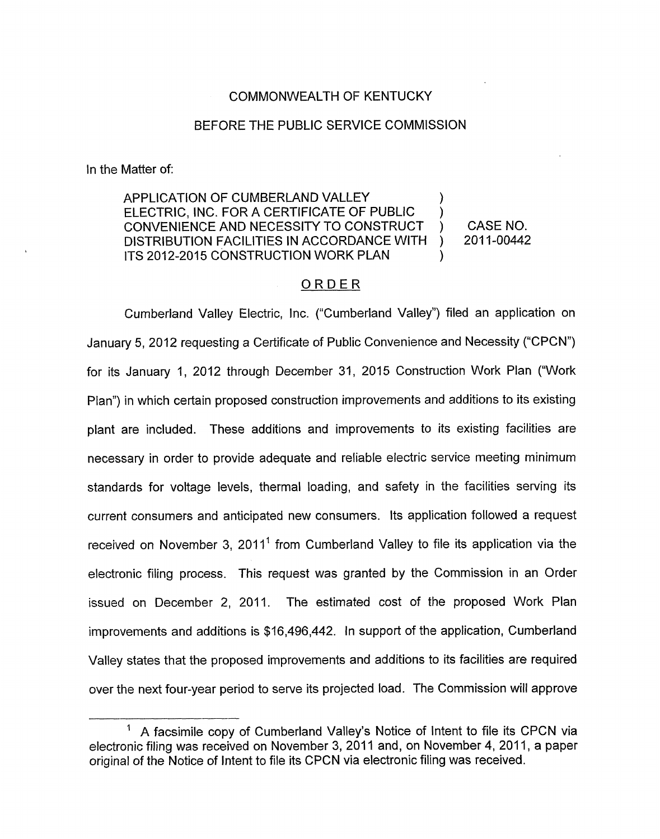## COMMONWEALTH OF KENTUCKY

## BEFORE THE PUBLIC SERVICE COMMISSION

In the Matter of:

APPLICATION OF CUMBERLAND VALLEY ELECTRIC, INC. FOR A CERTIFICATE OF PUBLIC CONVENIENCE AND NECESSITY TO CONSTRUCT ) CASE NO. DISTRIBUTION FACILITIES IN ACCORDANCE WITH ITS 2012-2015 CONSTRUCTION WORK PLAN ) 1

## ORDER

Cumberland Valley Electric, Inc. ("Cumberland Valley") filed an application on January 5, 2012 requesting a Certificate of Public Convenience and Necessity ('CPCN") for its January 1, 2012 through December 31, 2015 Construction Work Plan ("Work Plan") in which certain proposed construction improvements and additions to its existing plant are included. These additions and improvements to its existing facilities are necessary in order to provide adequate and reliable electric service meeting minimum standards for voltage levels, thermal loading, and safety in the facilities serving its current consumers and anticipated new consumers. Its application followed a request received on November 3, 2011' from Cumberland Valley to file its application via the electronic filing process. This request was granted by the Commission in an Order issued on December 2, 2011. The estimated cost of the proposed Work Plan improvements and additions is \$16,496,442. In support of the application, Cumberland Valley states that the proposed improvements and additions to its facilities are required over the next four-year period to serve its projected load. The Commission will approve

<sup>&</sup>lt;sup>1</sup> A facsimile copy of Cumberland Valley's Notice of Intent to file its CPCN via electronic filing was received on November 3, 2011 and, on November 4, 2011, a paper original of the Notice of Intent to file its CPCN via electronic filing was received.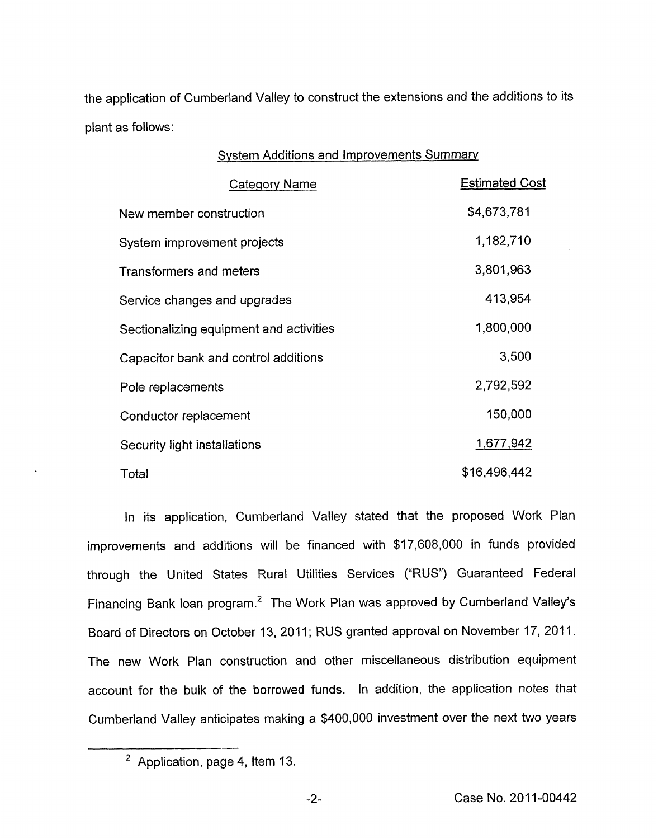the application of Cumberland Valley to construct the extensions and the additions to its plant as follows:

| <b>System Additions and Improvements Summary</b> |                       |
|--------------------------------------------------|-----------------------|
| <b>Category Name</b>                             | <b>Estimated Cost</b> |
| New member construction                          | \$4,673,781           |
| System improvement projects                      | 1,182,710             |
| <b>Transformers and meters</b>                   | 3,801,963             |
| Service changes and upgrades                     | 413,954               |
| Sectionalizing equipment and activities          | 1,800,000             |
| Capacitor bank and control additions             | 3,500                 |
| Pole replacements                                | 2,792,592             |
| Conductor replacement                            | 150,000               |
| Security light installations                     | 1,677,942             |
| Total                                            | \$16,496,442          |

In its application, Cumberland Valley stated that the proposed Work Plan improvements and additions will be financed with \$17,608,000 in funds provided through the United States Rural Utilities Services ("RUS") Guaranteed Federal Financing Bank loan program.<sup>2</sup> The Work Plan was approved by Cumberland Valley's Board of Directors on October 13, 2011; RUS granted approval on November 17, 2011. The new Work Plan construction and other miscellaneous distribution equipment account for the bulk of the borrowed funds. In addition, the application notes that Cumberland Valley anticipates making a \$400,000 investment over the next two years  $\frac{c_{\text{c}}}{\sqrt{c_{\text{c}}}}$ 

<sup>&</sup>lt;sup>2</sup> Application, page 4, Item 13.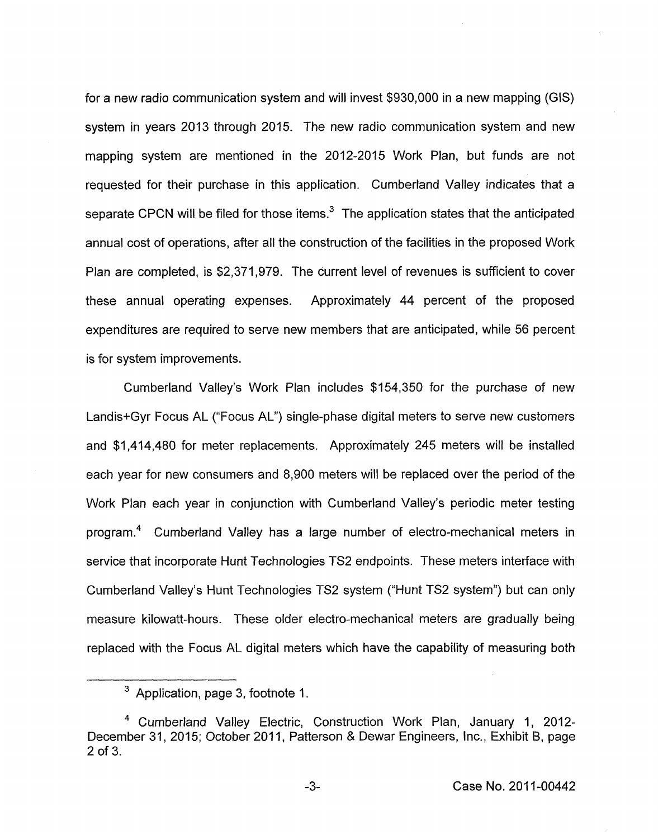for a new radio communication system and will invest \$930,000 in a new mapping (GIS) system in years 2013 through 2015. The new radio communication system and new mapping system are mentioned in the 2012-2015 Work Plan, but funds are not requested for their purchase in this application. Cumberland Valley indicates that a separate CPCN will be filed for those items.<sup>3</sup> The application states that the anticipated annual cost of operations, after all the construction of the facilities in the proposed Work Plan are completed, is \$2,371,979. The current level of revenues is sufficient to cover these annual operating expenses. Approximately 44 percent of the proposed expenditures are required to serve new members that are anticipated, while 56 percent is for system improvements.

Cumberland Valley's Work Plan includes \$154,350 for the purchase of new Landis+Gyr Focus AL ("Focus AL") single-phase digital meters to serve new customers and \$1,414,480 for meter replacements. Approximately 245 meters will be installed each year for new consumers and 8,900 meters will be replaced over the period of the Work Plan each year in conjunction with Cumberland Valley's periodic meter testing program.<sup>4</sup> Cumberland Valley has a large number of electro-mechanical meters in service that incorporate Hunt Technologies TS2 endpoints. These meters interface with Cumberland Valley's Hunt Technologies TS2 system ("Hunt TS2 system") but can only measure kilowatt-hours. These older electro-mechanical meters are gradually being replaced with the Focus AL digital meters which have the capability of measuring both

 $3$  Application, page 3, footnote 1.

Cumberland Valley Electric, Construction Work Plan, January 1, 2012- December 31, 2015; October 2011, Patterson & Dewar Engineers, Inc., Exhibit B, page 2 Of 3.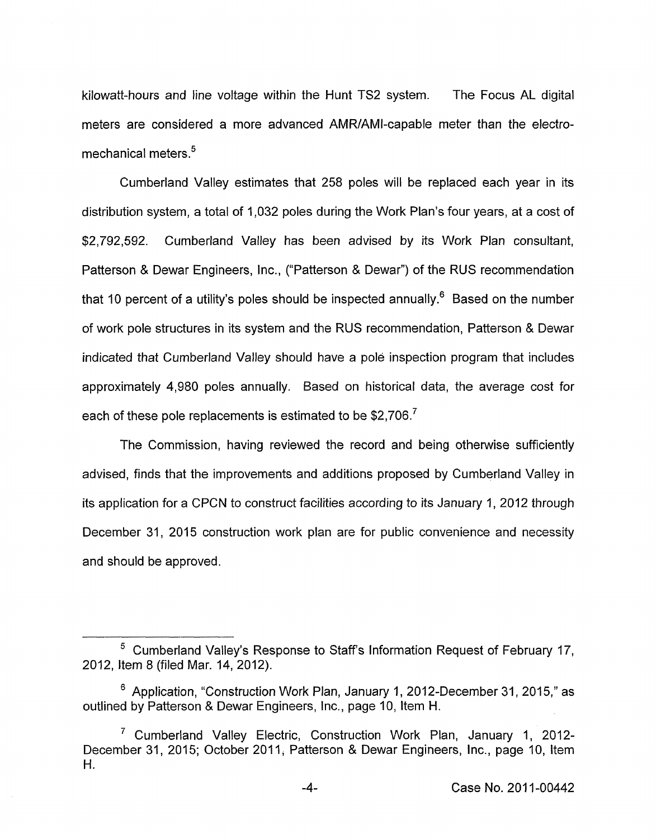kilowatt-hours and line voltage within the Hunt TS2 system. The Focus AL digital meters are considered a more advanced AMRIAMI-capable meter than the electromechanical meters. $5$ 

Cumberland Valley estimates that 258 poles will be replaced each year in its distribution system, a total of 1,032 poles during the Work Plan's four years, at a cost of \$2,792,592. Cumberland Valley has been advised by its Work Plan consultant, Patterson & Dewar Engineers, Inc., ('Patterson & Dewar") of the RUS recommendation that 10 percent of a utility's poles should be inspected annually.<sup>6</sup> Based on the number of work pole structures in its system and the RUS recommendation, Patterson & Dewar indicated that Cumberland Valley should have a pole inspection program that includes approximately 4,980 poles annually. Based on historical data, the average cost for each of these pole replacements is estimated to be \$2,706.<sup>7</sup>

The Commission, having reviewed the record and being otherwise sufficiently advised, finds that the improvements and additions proposed by Cumberland Valley in its application for a CPCN to construct facilities according to its January 1, 2012 through December 31, 2015 construction work plan are for public convenience and necessity and should be approved.

Cumberland Valley's Response to Staff's Information Request of February 17, 2012, Item 8 (filed Mar. 14,2012).

 $6$  Application, "Construction Work Plan, January 1, 2012-December 31, 2015," as outlined by Patterson & Dewar Engineers, Inc., page IO, Item H.

<sup>&</sup>lt;sup>7</sup> Cumberland Valley Electric, Construction Work Plan, January 1, 2012-December 31, 2015; October 2011, Patterson & Dewar Engineers, Inc., page IO, Item H.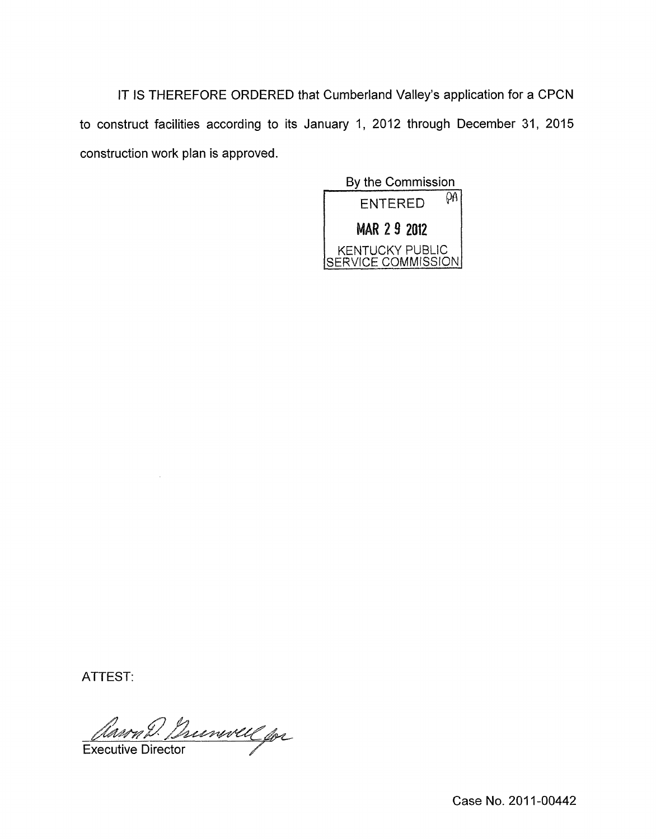IT IS THEREFORE ORDERED that Cumberland Valley's application for a CPCN to construct facilities according to its January 1, 2012 through December 31, 2015 construction work plan is approved.

By the Commission  $ENTERED$   $\theta$ <sup>A</sup> fa **2 9 2012**  KENTUCKY PUBLIC **SERVICE COMMISSION** 

ATTEST:

Mann D. Burnwell for

Case No. 2011-00442